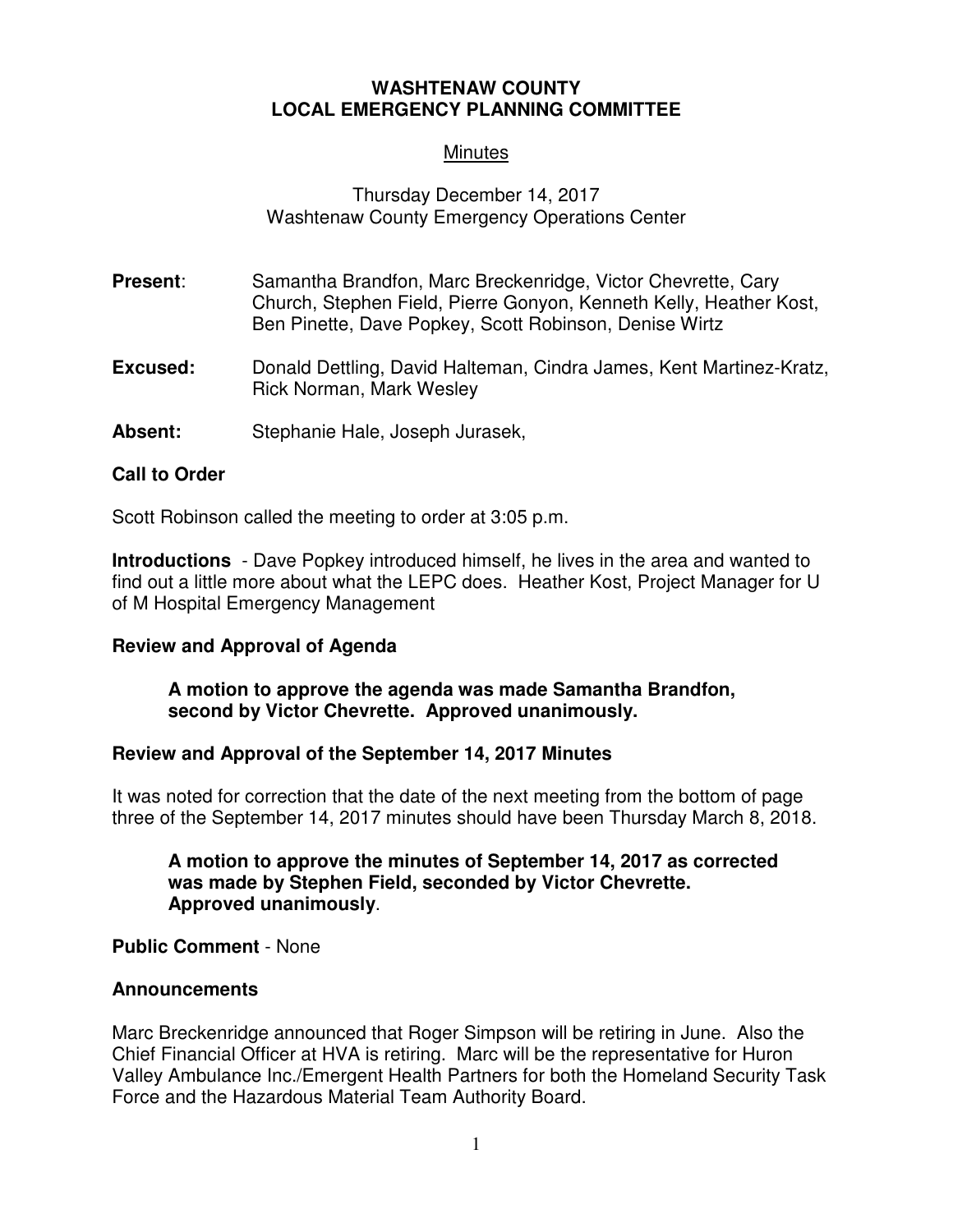# **WASHTENAW COUNTY LOCAL EMERGENCY PLANNING COMMITTEE**

# **Minutes**

# Thursday December 14, 2017 Washtenaw County Emergency Operations Center

- **Present:** Samantha Brandfon, Marc Breckenridge, Victor Chevrette, Cary Church, Stephen Field, Pierre Gonyon, Kenneth Kelly, Heather Kost, Ben Pinette, Dave Popkey, Scott Robinson, Denise Wirtz
- **Excused:** Donald Dettling, David Halteman, Cindra James, Kent Martinez-Kratz, Rick Norman, Mark Wesley
- **Absent:** Stephanie Hale, Joseph Jurasek,

### **Call to Order**

Scott Robinson called the meeting to order at 3:05 p.m.

**Introductions** - Dave Popkey introduced himself, he lives in the area and wanted to find out a little more about what the LEPC does. Heather Kost, Project Manager for U of M Hospital Emergency Management

### **Review and Approval of Agenda**

### **A motion to approve the agenda was made Samantha Brandfon, second by Victor Chevrette. Approved unanimously.**

### **Review and Approval of the September 14, 2017 Minutes**

It was noted for correction that the date of the next meeting from the bottom of page three of the September 14, 2017 minutes should have been Thursday March 8, 2018.

#### **A motion to approve the minutes of September 14, 2017 as corrected was made by Stephen Field, seconded by Victor Chevrette. Approved unanimously**.

### **Public Comment** - None

### **Announcements**

Marc Breckenridge announced that Roger Simpson will be retiring in June. Also the Chief Financial Officer at HVA is retiring. Marc will be the representative for Huron Valley Ambulance Inc./Emergent Health Partners for both the Homeland Security Task Force and the Hazardous Material Team Authority Board.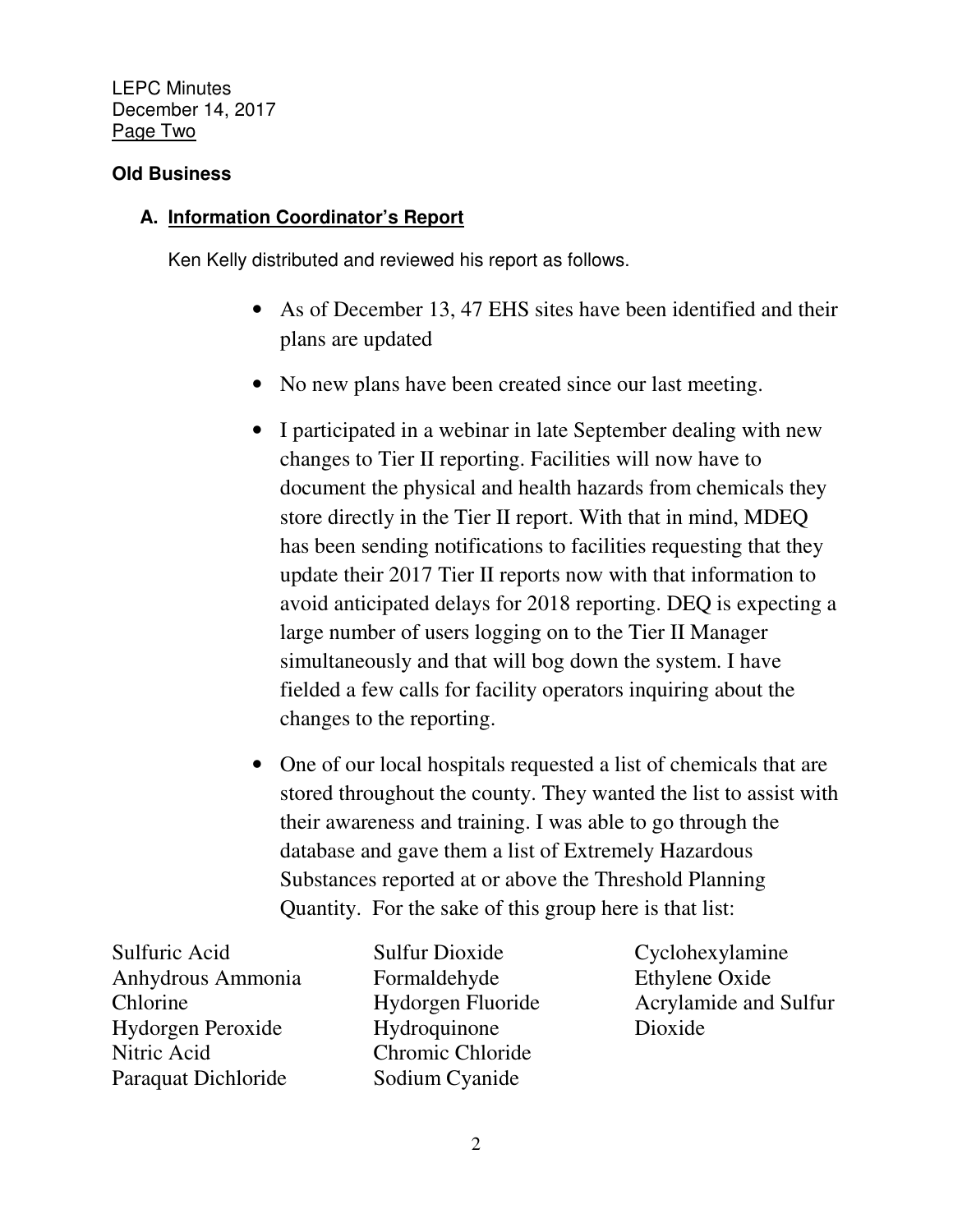LEPC Minutes December 14, 2017 Page Two

# **Old Business**

# **A. Information Coordinator's Report**

Ken Kelly distributed and reviewed his report as follows.

- As of December 13, 47 EHS sites have been identified and their plans are updated
- No new plans have been created since our last meeting.
- I participated in a webinar in late September dealing with new changes to Tier II reporting. Facilities will now have to document the physical and health hazards from chemicals they store directly in the Tier II report. With that in mind, MDEQ has been sending notifications to facilities requesting that they update their 2017 Tier II reports now with that information to avoid anticipated delays for 2018 reporting. DEQ is expecting a large number of users logging on to the Tier II Manager simultaneously and that will bog down the system. I have fielded a few calls for facility operators inquiring about the changes to the reporting.
- One of our local hospitals requested a list of chemicals that are stored throughout the county. They wanted the list to assist with their awareness and training. I was able to go through the database and gave them a list of Extremely Hazardous Substances reported at or above the Threshold Planning Quantity. For the sake of this group here is that list:

Sulfuric Acid Anhydrous Ammonia Chlorine Hydorgen Peroxide Nitric Acid Paraquat Dichloride

Sulfur Dioxide Formaldehyde Hydorgen Fluoride Hydroquinone Chromic Chloride Sodium Cyanide

Cyclohexylamine Ethylene Oxide Acrylamide and Sulfur Dioxide